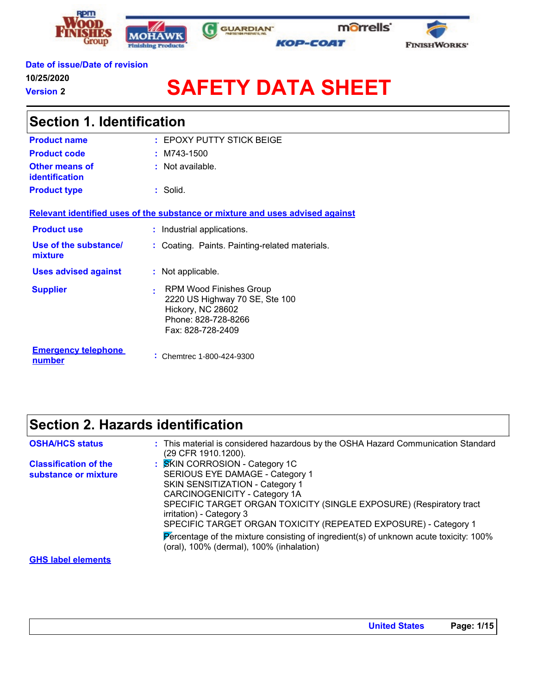







### **Date of issue/Date of revision**

**10/25/2020**

**Version 2**

 $\mathsf{r}$ 

# **SAFETY DATA SHEET**

| <b>Section 1. Identification</b>               |                                                                                                                                 |  |
|------------------------------------------------|---------------------------------------------------------------------------------------------------------------------------------|--|
| <b>Product name</b>                            | : EPOXY PUTTY STICK BEIGE                                                                                                       |  |
| <b>Product code</b>                            | $:$ M743-1500                                                                                                                   |  |
| <b>Other means of</b><br><b>identification</b> | $:$ Not available.                                                                                                              |  |
| <b>Product type</b>                            | $:$ Solid.                                                                                                                      |  |
|                                                | Relevant identified uses of the substance or mixture and uses advised against                                                   |  |
| <b>Product use</b>                             | : Industrial applications.                                                                                                      |  |
| Use of the substance/<br>mixture               | : Coating. Paints. Painting-related materials.                                                                                  |  |
| <b>Uses advised against</b>                    | : Not applicable.                                                                                                               |  |
| <b>Supplier</b>                                | RPM Wood Finishes Group<br>÷<br>2220 US Highway 70 SE, Ste 100<br>Hickory, NC 28602<br>Phone: 828-728-8266<br>Fax: 828-728-2409 |  |
| <b>Emergency telephone</b><br>number           | : Chemtrec 1-800-424-9300                                                                                                       |  |

### **Section 2. Hazards identification**

| <b>OSHA/HCS status</b>                               | : This material is considered hazardous by the OSHA Hazard Communication Standard<br>(29 CFR 1910.1200).                                                                                                                                                                                                                                                                                                                                                        |
|------------------------------------------------------|-----------------------------------------------------------------------------------------------------------------------------------------------------------------------------------------------------------------------------------------------------------------------------------------------------------------------------------------------------------------------------------------------------------------------------------------------------------------|
| <b>Classification of the</b><br>substance or mixture | <b>SKIN CORROSION - Category 1C</b><br>SERIOUS EYE DAMAGE - Category 1<br><b>SKIN SENSITIZATION - Category 1</b><br>CARCINOGENICITY - Category 1A<br>SPECIFIC TARGET ORGAN TOXICITY (SINGLE EXPOSURE) (Respiratory tract<br>irritation) - Category 3<br>SPECIFIC TARGET ORGAN TOXICITY (REPEATED EXPOSURE) - Category 1<br>Percentage of the mixture consisting of ingredient(s) of unknown acute toxicity: $100\%$<br>(oral), 100% (dermal), 100% (inhalation) |
|                                                      |                                                                                                                                                                                                                                                                                                                                                                                                                                                                 |

**GHS label elements**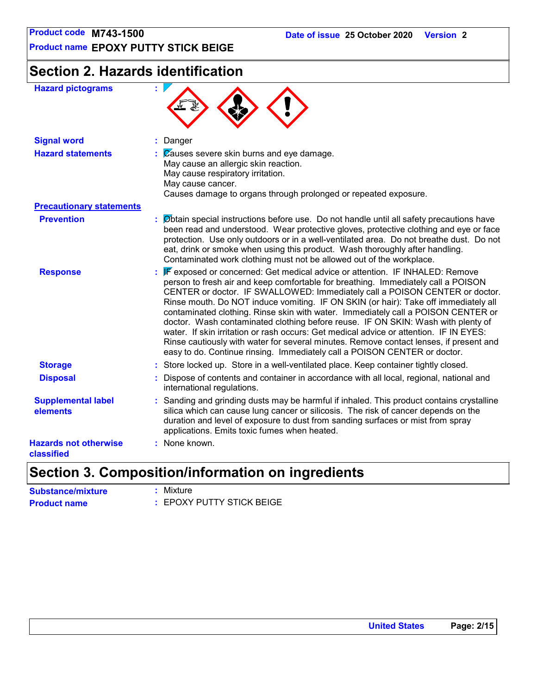**Product name EPOXY PUTTY STICK BEIGE**

## **Section 2. Hazards identification**

| <b>Hazard pictograms</b>                   |                                                                                                                                                                                                                                                                                                                                                                                                                                                                                                                                                                                                                                                                                                                                                                                    |
|--------------------------------------------|------------------------------------------------------------------------------------------------------------------------------------------------------------------------------------------------------------------------------------------------------------------------------------------------------------------------------------------------------------------------------------------------------------------------------------------------------------------------------------------------------------------------------------------------------------------------------------------------------------------------------------------------------------------------------------------------------------------------------------------------------------------------------------|
| <b>Signal word</b>                         | : Danger                                                                                                                                                                                                                                                                                                                                                                                                                                                                                                                                                                                                                                                                                                                                                                           |
| <b>Hazard statements</b>                   | $\mathcal{L}$ $\mathbb{Z}$ auses severe skin burns and eye damage.<br>May cause an allergic skin reaction.<br>May cause respiratory irritation.<br>May cause cancer.<br>Causes damage to organs through prolonged or repeated exposure.                                                                                                                                                                                                                                                                                                                                                                                                                                                                                                                                            |
| <b>Precautionary statements</b>            |                                                                                                                                                                                                                                                                                                                                                                                                                                                                                                                                                                                                                                                                                                                                                                                    |
| <b>Prevention</b>                          | : Øbtain special instructions before use. Do not handle until all safety precautions have<br>been read and understood. Wear protective gloves, protective clothing and eye or face<br>protection. Use only outdoors or in a well-ventilated area. Do not breathe dust. Do not<br>eat, drink or smoke when using this product. Wash thoroughly after handling.<br>Contaminated work clothing must not be allowed out of the workplace.                                                                                                                                                                                                                                                                                                                                              |
| <b>Response</b>                            | : F exposed or concerned: Get medical advice or attention. IF INHALED: Remove<br>person to fresh air and keep comfortable for breathing. Immediately call a POISON<br>CENTER or doctor. IF SWALLOWED: Immediately call a POISON CENTER or doctor.<br>Rinse mouth. Do NOT induce vomiting. IF ON SKIN (or hair): Take off immediately all<br>contaminated clothing. Rinse skin with water. Immediately call a POISON CENTER or<br>doctor. Wash contaminated clothing before reuse. IF ON SKIN: Wash with plenty of<br>water. If skin irritation or rash occurs: Get medical advice or attention. IF IN EYES:<br>Rinse cautiously with water for several minutes. Remove contact lenses, if present and<br>easy to do. Continue rinsing. Immediately call a POISON CENTER or doctor. |
| <b>Storage</b>                             | : Store locked up. Store in a well-ventilated place. Keep container tightly closed.                                                                                                                                                                                                                                                                                                                                                                                                                                                                                                                                                                                                                                                                                                |
| <b>Disposal</b>                            | Dispose of contents and container in accordance with all local, regional, national and<br>international regulations.                                                                                                                                                                                                                                                                                                                                                                                                                                                                                                                                                                                                                                                               |
| <b>Supplemental label</b><br>elements      | : Sanding and grinding dusts may be harmful if inhaled. This product contains crystalline<br>silica which can cause lung cancer or silicosis. The risk of cancer depends on the<br>duration and level of exposure to dust from sanding surfaces or mist from spray<br>applications. Emits toxic fumes when heated.                                                                                                                                                                                                                                                                                                                                                                                                                                                                 |
| <b>Hazards not otherwise</b><br>classified | : None known.                                                                                                                                                                                                                                                                                                                                                                                                                                                                                                                                                                                                                                                                                                                                                                      |

### **Section 3. Composition/information on ingredients**

| <b>Substance/mixture</b> | : Mixture                 |
|--------------------------|---------------------------|
| <b>Product name</b>      | : EPOXY PUTTY STICK BEIGE |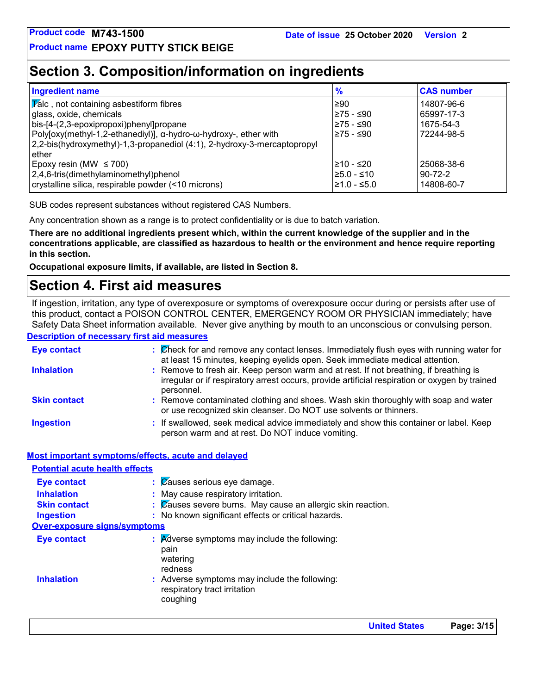### **Section 3. Composition/information on ingredients**

| <b>Ingredient name</b>                                                   | $\frac{9}{6}$ | <b>CAS number</b> |
|--------------------------------------------------------------------------|---------------|-------------------|
| $ \overline{V}$ alc, not containing asbestiform fibres                   | ≥90           | 14807-96-6        |
| glass, oxide, chemicals                                                  | l≥75 - ≤90    | 65997-17-3        |
| bis-[4-(2,3-epoxipropoxi)phenyl]propane                                  | 275 - ≤90     | 1675-54-3         |
| Poly[oxy(methyl-1,2-ethanediyl)], α-hydro-ω-hydroxy-, ether with         | l≥75 - ≤90    | 72244-98-5        |
| 2,2-bis(hydroxymethyl)-1,3-propanediol (4:1), 2-hydroxy-3-mercaptopropyl |               |                   |
| ether                                                                    |               |                   |
| Epoxy resin (MW $\leq$ 700)                                              | l≥10 - ≤20    | 25068-38-6        |
| 2,4,6-tris(dimethylaminomethyl)phenol                                    | l≥5.0 - ≤10   | $90 - 72 - 2$     |
| crystalline silica, respirable powder (<10 microns)                      | l≥1.0 - ≤5.0  | 14808-60-7        |

SUB codes represent substances without registered CAS Numbers.

Any concentration shown as a range is to protect confidentiality or is due to batch variation.

**There are no additional ingredients present which, within the current knowledge of the supplier and in the concentrations applicable, are classified as hazardous to health or the environment and hence require reporting in this section.**

**Occupational exposure limits, if available, are listed in Section 8.**

### **Section 4. First aid measures**

If ingestion, irritation, any type of overexposure or symptoms of overexposure occur during or persists after use of this product, contact a POISON CONTROL CENTER, EMERGENCY ROOM OR PHYSICIAN immediately; have Safety Data Sheet information available. Never give anything by mouth to an unconscious or convulsing person.

#### **Description of necessary first aid measures**

| <b>Eye contact</b>  | : Check for and remove any contact lenses. Immediately flush eyes with running water for<br>at least 15 minutes, keeping eyelids open. Seek immediate medical attention.                               |
|---------------------|--------------------------------------------------------------------------------------------------------------------------------------------------------------------------------------------------------|
| <b>Inhalation</b>   | : Remove to fresh air. Keep person warm and at rest. If not breathing, if breathing is<br>irregular or if respiratory arrest occurs, provide artificial respiration or oxygen by trained<br>personnel. |
| <b>Skin contact</b> | : Remove contaminated clothing and shoes. Wash skin thoroughly with soap and water<br>or use recognized skin cleanser. Do NOT use solvents or thinners.                                                |
| <b>Ingestion</b>    | : If swallowed, seek medical advice immediately and show this container or label. Keep<br>person warm and at rest. Do NOT induce vomiting.                                                             |

#### **Most important symptoms/effects, acute and delayed**

| <b>Potential acute health effects</b> |                                                                                           |
|---------------------------------------|-------------------------------------------------------------------------------------------|
| <b>Eye contact</b>                    | $\therefore$ $\%$ auses serious eye damage.                                               |
| <b>Inhalation</b>                     | May cause respiratory irritation.                                                         |
| <b>Skin contact</b>                   | : Causes severe burns. May cause an allergic skin reaction.                               |
| <b>Ingestion</b>                      | : No known significant effects or critical hazards.                                       |
| <b>Over-exposure signs/symptoms</b>   |                                                                                           |
| <b>Eye contact</b>                    | $\therefore$ Adverse symptoms may include the following:<br>pain<br>watering<br>redness   |
| <b>Inhalation</b>                     | : Adverse symptoms may include the following:<br>respiratory tract irritation<br>coughing |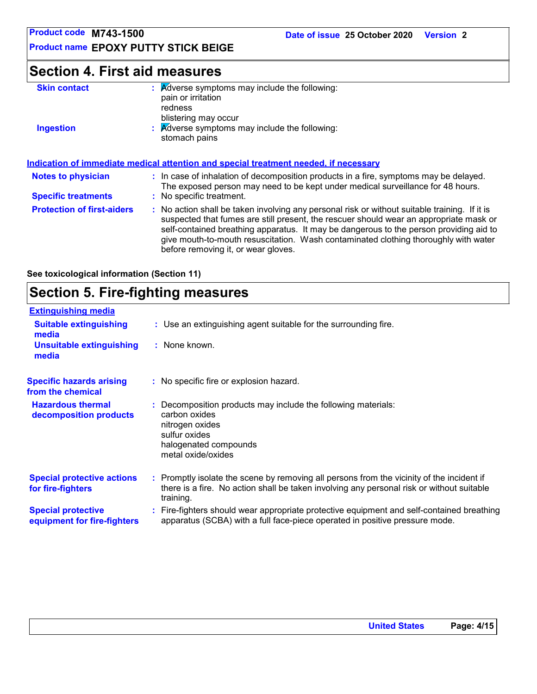**Product name EPOXY PUTTY STICK BEIGE**

### **Section 4. First aid measures**

| <b>Skin contact</b>                                                                 | : Adverse symptoms may include the following:<br>pain or irritation<br>redness<br>blistering may occur |  |
|-------------------------------------------------------------------------------------|--------------------------------------------------------------------------------------------------------|--|
| <b>Ingestion</b>                                                                    | $\therefore$ Adverse symptoms may include the following:<br>stomach pains                              |  |
| Indication of immediate medical attention and special treatment needed if necessary |                                                                                                        |  |

|                                   | <u>Multanon of Millionale Medital alternon and special treatment needed, if necessary</u>                                                                                                                                                                                                                                                                                                                       |
|-----------------------------------|-----------------------------------------------------------------------------------------------------------------------------------------------------------------------------------------------------------------------------------------------------------------------------------------------------------------------------------------------------------------------------------------------------------------|
| <b>Notes to physician</b>         | : In case of inhalation of decomposition products in a fire, symptoms may be delayed.<br>The exposed person may need to be kept under medical surveillance for 48 hours.                                                                                                                                                                                                                                        |
| <b>Specific treatments</b>        | : No specific treatment.                                                                                                                                                                                                                                                                                                                                                                                        |
| <b>Protection of first-aiders</b> | : No action shall be taken involving any personal risk or without suitable training. If it is<br>suspected that fumes are still present, the rescuer should wear an appropriate mask or<br>self-contained breathing apparatus. It may be dangerous to the person providing aid to<br>give mouth-to-mouth resuscitation. Wash contaminated clothing thoroughly with water<br>before removing it, or wear gloves. |

**See toxicological information (Section 11)**

### **Section 5. Fire-fighting measures**

| <b>Extinguishing media</b>                               |                                                                                                                                                                                                     |
|----------------------------------------------------------|-----------------------------------------------------------------------------------------------------------------------------------------------------------------------------------------------------|
| <b>Suitable extinguishing</b><br>media                   | : Use an extinguishing agent suitable for the surrounding fire.                                                                                                                                     |
| <b>Unsuitable extinguishing</b><br>media                 | : None known.                                                                                                                                                                                       |
| <b>Specific hazards arising</b><br>from the chemical     | : No specific fire or explosion hazard.                                                                                                                                                             |
| <b>Hazardous thermal</b><br>decomposition products       | : Decomposition products may include the following materials:<br>carbon oxides<br>nitrogen oxides<br>sulfur oxides<br>halogenated compounds<br>metal oxide/oxides                                   |
| <b>Special protective actions</b><br>for fire-fighters   | : Promptly isolate the scene by removing all persons from the vicinity of the incident if<br>there is a fire. No action shall be taken involving any personal risk or without suitable<br>training. |
| <b>Special protective</b><br>equipment for fire-fighters | : Fire-fighters should wear appropriate protective equipment and self-contained breathing<br>apparatus (SCBA) with a full face-piece operated in positive pressure mode.                            |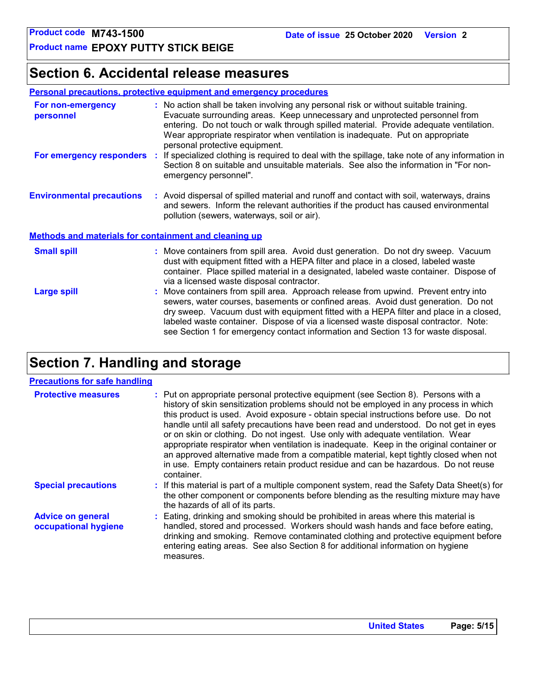### **Section 6. Accidental release measures**

#### **Personal precautions, protective equipment and emergency procedures**

| For non-emergency<br>personnel                               |  | : No action shall be taken involving any personal risk or without suitable training.<br>Evacuate surrounding areas. Keep unnecessary and unprotected personnel from<br>entering. Do not touch or walk through spilled material. Provide adequate ventilation.<br>Wear appropriate respirator when ventilation is inadequate. Put on appropriate<br>personal protective equipment.                                                               |  |  |
|--------------------------------------------------------------|--|-------------------------------------------------------------------------------------------------------------------------------------------------------------------------------------------------------------------------------------------------------------------------------------------------------------------------------------------------------------------------------------------------------------------------------------------------|--|--|
| For emergency responders                                     |  | : If specialized clothing is required to deal with the spillage, take note of any information in<br>Section 8 on suitable and unsuitable materials. See also the information in "For non-<br>emergency personnel".                                                                                                                                                                                                                              |  |  |
| <b>Environmental precautions</b>                             |  | : Avoid dispersal of spilled material and runoff and contact with soil, waterways, drains<br>and sewers. Inform the relevant authorities if the product has caused environmental<br>pollution (sewers, waterways, soil or air).                                                                                                                                                                                                                 |  |  |
| <b>Methods and materials for containment and cleaning up</b> |  |                                                                                                                                                                                                                                                                                                                                                                                                                                                 |  |  |
| <b>Small spill</b>                                           |  | : Move containers from spill area. Avoid dust generation. Do not dry sweep. Vacuum<br>dust with equipment fitted with a HEPA filter and place in a closed, labeled waste<br>container. Place spilled material in a designated, labeled waste container. Dispose of<br>via a licensed waste disposal contractor.                                                                                                                                 |  |  |
| <b>Large spill</b>                                           |  | : Move containers from spill area. Approach release from upwind. Prevent entry into<br>sewers, water courses, basements or confined areas. Avoid dust generation. Do not<br>dry sweep. Vacuum dust with equipment fitted with a HEPA filter and place in a closed,<br>labeled waste container. Dispose of via a licensed waste disposal contractor. Note:<br>see Section 1 for emergency contact information and Section 13 for waste disposal. |  |  |

### **Section 7. Handling and storage**

#### **Precautions for safe handling**

| <b>Protective measures</b>                       | : Put on appropriate personal protective equipment (see Section 8). Persons with a<br>history of skin sensitization problems should not be employed in any process in which<br>this product is used. Avoid exposure - obtain special instructions before use. Do not<br>handle until all safety precautions have been read and understood. Do not get in eyes<br>or on skin or clothing. Do not ingest. Use only with adequate ventilation. Wear<br>appropriate respirator when ventilation is inadequate. Keep in the original container or<br>an approved alternative made from a compatible material, kept tightly closed when not<br>in use. Empty containers retain product residue and can be hazardous. Do not reuse<br>container. |
|--------------------------------------------------|-------------------------------------------------------------------------------------------------------------------------------------------------------------------------------------------------------------------------------------------------------------------------------------------------------------------------------------------------------------------------------------------------------------------------------------------------------------------------------------------------------------------------------------------------------------------------------------------------------------------------------------------------------------------------------------------------------------------------------------------|
| <b>Special precautions</b>                       | : If this material is part of a multiple component system, read the Safety Data Sheet(s) for<br>the other component or components before blending as the resulting mixture may have<br>the hazards of all of its parts.                                                                                                                                                                                                                                                                                                                                                                                                                                                                                                                   |
| <b>Advice on general</b><br>occupational hygiene | : Eating, drinking and smoking should be prohibited in areas where this material is<br>handled, stored and processed. Workers should wash hands and face before eating,<br>drinking and smoking. Remove contaminated clothing and protective equipment before<br>entering eating areas. See also Section 8 for additional information on hygiene<br>measures.                                                                                                                                                                                                                                                                                                                                                                             |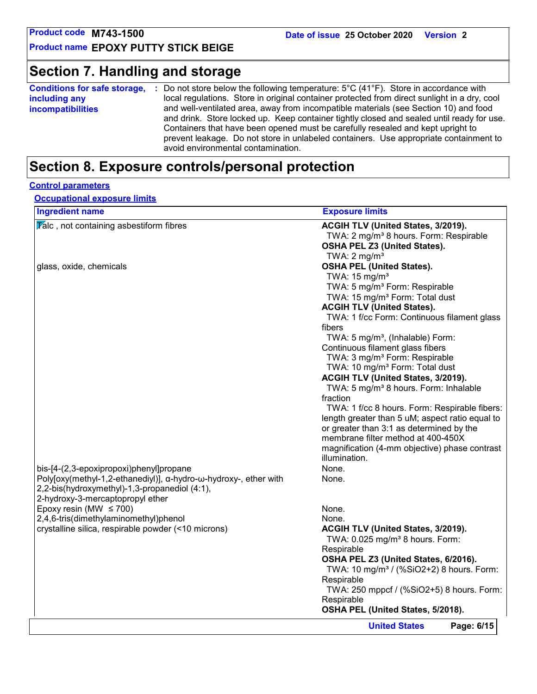### **Section 7. Handling and storage**

| local regulations. Store in original container protected from direct sunlight in a dry, cool<br>including any<br>and well-ventilated area, away from incompatible materials (see Section 10) and food<br><b>incompatibilities</b><br>and drink. Store locked up. Keep container tightly closed and sealed until ready for use.<br>Containers that have been opened must be carefully resealed and kept upright to<br>prevent leakage. Do not store in unlabeled containers. Use appropriate containment to | <b>Conditions for safe storage,</b> | Do not store below the following temperature: $5^{\circ}$ C (41 $^{\circ}$ F). Store in accordance with |
|------------------------------------------------------------------------------------------------------------------------------------------------------------------------------------------------------------------------------------------------------------------------------------------------------------------------------------------------------------------------------------------------------------------------------------------------------------------------------------------------------------|-------------------------------------|---------------------------------------------------------------------------------------------------------|
|                                                                                                                                                                                                                                                                                                                                                                                                                                                                                                            |                                     |                                                                                                         |
|                                                                                                                                                                                                                                                                                                                                                                                                                                                                                                            |                                     | avoid environmental contamination.                                                                      |

### **Section 8. Exposure controls/personal protection**

### **Control parameters**

**Occupational exposure limits**

| <b>Ingredient name</b>                                           | <b>Exposure limits</b>                               |
|------------------------------------------------------------------|------------------------------------------------------|
| $\sqrt{\mathbf{r}}$ alc, not containing asbestiform fibres       | ACGIH TLV (United States, 3/2019).                   |
|                                                                  | TWA: 2 mg/m <sup>3</sup> 8 hours. Form: Respirable   |
|                                                                  | <b>OSHA PEL Z3 (United States).</b>                  |
|                                                                  | TWA: $2 \text{ mg/m}^3$                              |
| glass, oxide, chemicals                                          | <b>OSHA PEL (United States).</b>                     |
|                                                                  | TWA: 15 mg/m <sup>3</sup>                            |
|                                                                  | TWA: 5 mg/m <sup>3</sup> Form: Respirable            |
|                                                                  | TWA: 15 mg/m <sup>3</sup> Form: Total dust           |
|                                                                  | <b>ACGIH TLV (United States).</b>                    |
|                                                                  | TWA: 1 f/cc Form: Continuous filament glass          |
|                                                                  | fibers                                               |
|                                                                  | TWA: 5 mg/m <sup>3</sup> , (Inhalable) Form:         |
|                                                                  | Continuous filament glass fibers                     |
|                                                                  | TWA: 3 mg/m <sup>3</sup> Form: Respirable            |
|                                                                  | TWA: 10 mg/m <sup>3</sup> Form: Total dust           |
|                                                                  | ACGIH TLV (United States, 3/2019).                   |
|                                                                  | TWA: 5 mg/m <sup>3</sup> 8 hours. Form: Inhalable    |
|                                                                  | fraction                                             |
|                                                                  | TWA: 1 f/cc 8 hours. Form: Respirable fibers:        |
|                                                                  | length greater than 5 uM; aspect ratio equal to      |
|                                                                  | or greater than 3:1 as determined by the             |
|                                                                  | membrane filter method at 400-450X                   |
|                                                                  | magnification (4-mm objective) phase contrast        |
|                                                                  | illumination.                                        |
| bis-[4-(2,3-epoxipropoxi)phenyl]propane                          | None.                                                |
| Poly[oxy(methyl-1,2-ethanediyl)], α-hydro-ω-hydroxy-, ether with | None.                                                |
| 2,2-bis(hydroxymethyl)-1,3-propanediol (4:1),                    |                                                      |
| 2-hydroxy-3-mercaptopropyl ether                                 |                                                      |
| Epoxy resin (MW $\leq$ 700)                                      | None.                                                |
| 2,4,6-tris(dimethylaminomethyl)phenol                            | None.                                                |
| crystalline silica, respirable powder (<10 microns)              | ACGIH TLV (United States, 3/2019).                   |
|                                                                  | TWA: 0.025 mg/m <sup>3</sup> 8 hours. Form:          |
|                                                                  | Respirable                                           |
|                                                                  | OSHA PEL Z3 (United States, 6/2016).                 |
|                                                                  | TWA: 10 mg/m <sup>3</sup> / (%SiO2+2) 8 hours. Form: |
|                                                                  | Respirable                                           |
|                                                                  | TWA: 250 mppcf / (%SiO2+5) 8 hours. Form:            |
|                                                                  | Respirable                                           |
|                                                                  | OSHA PEL (United States, 5/2018).                    |
|                                                                  | Page: 6/15<br><b>United States</b>                   |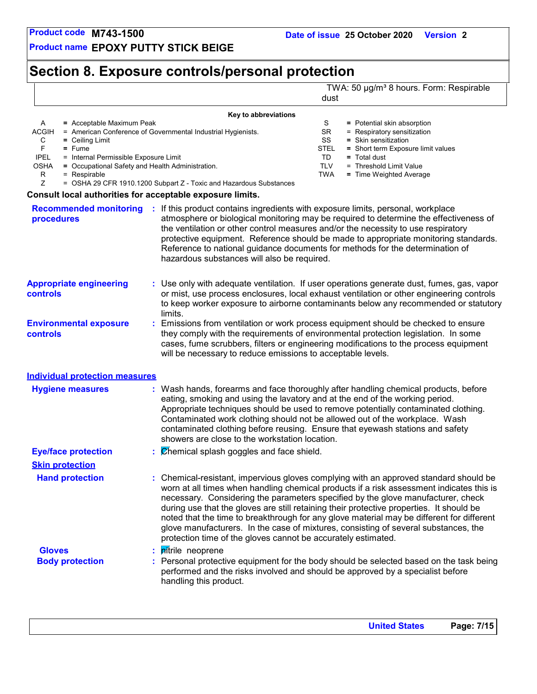**Product name EPOXY PUTTY STICK BEIGE**

### **Section 8. Exposure controls/personal protection**

TWA: 50 µg/m<sup>3</sup> 8 hours. Form: Respirable

dust **Key to abbreviations** A **=** Acceptable Maximum Peak ACGIH = American Conference of Governmental Industrial Hygienists. C **=** Ceiling Limit S = Potential skin absorption SR = Respiratory sensitization SS **=** Skin sensitization TD **=** Total dust **Consult local authorities for acceptable exposure limits.** TLV = Threshold Limit Value TWA **=** Time Weighted Average F **=** Fume IPEL = Internal Permissible Exposure Limit OSHA **=** Occupational Safety and Health Administration.  $R = Respirable$ <br> $Z = OSHA 29 C$ = OSHA 29 CFR 1910.1200 Subpart Z - Toxic and Hazardous Substances STEL **=** Short term Exposure limit values

| <b>Recommended monitoring</b><br>procedures      |                                                                                                                                                                                                                                                                                                                                                                                                                                                                             | : If this product contains ingredients with exposure limits, personal, workplace<br>atmosphere or biological monitoring may be required to determine the effectiveness of<br>the ventilation or other control measures and/or the necessity to use respiratory<br>protective equipment. Reference should be made to appropriate monitoring standards.<br>Reference to national guidance documents for methods for the determination of<br>hazardous substances will also be required.                                                                                                                                  |  |  |  |  |  |  |
|--------------------------------------------------|-----------------------------------------------------------------------------------------------------------------------------------------------------------------------------------------------------------------------------------------------------------------------------------------------------------------------------------------------------------------------------------------------------------------------------------------------------------------------------|------------------------------------------------------------------------------------------------------------------------------------------------------------------------------------------------------------------------------------------------------------------------------------------------------------------------------------------------------------------------------------------------------------------------------------------------------------------------------------------------------------------------------------------------------------------------------------------------------------------------|--|--|--|--|--|--|
| <b>Appropriate engineering</b><br>controls       |                                                                                                                                                                                                                                                                                                                                                                                                                                                                             | : Use only with adequate ventilation. If user operations generate dust, fumes, gas, vapor<br>or mist, use process enclosures, local exhaust ventilation or other engineering controls<br>to keep worker exposure to airborne contaminants below any recommended or statutory<br>limits.                                                                                                                                                                                                                                                                                                                                |  |  |  |  |  |  |
| <b>Environmental exposure</b><br><b>controls</b> |                                                                                                                                                                                                                                                                                                                                                                                                                                                                             | : Emissions from ventilation or work process equipment should be checked to ensure<br>they comply with the requirements of environmental protection legislation. In some<br>cases, fume scrubbers, filters or engineering modifications to the process equipment<br>will be necessary to reduce emissions to acceptable levels.                                                                                                                                                                                                                                                                                        |  |  |  |  |  |  |
| <b>Individual protection measures</b>            |                                                                                                                                                                                                                                                                                                                                                                                                                                                                             |                                                                                                                                                                                                                                                                                                                                                                                                                                                                                                                                                                                                                        |  |  |  |  |  |  |
| <b>Hygiene measures</b>                          | : Wash hands, forearms and face thoroughly after handling chemical products, before<br>eating, smoking and using the lavatory and at the end of the working period.<br>Appropriate techniques should be used to remove potentially contaminated clothing.<br>Contaminated work clothing should not be allowed out of the workplace. Wash<br>contaminated clothing before reusing. Ensure that eyewash stations and safety<br>showers are close to the workstation location. |                                                                                                                                                                                                                                                                                                                                                                                                                                                                                                                                                                                                                        |  |  |  |  |  |  |
| <b>Eye/face protection</b>                       |                                                                                                                                                                                                                                                                                                                                                                                                                                                                             | $\mathcal{C}$ <i>Chemical splash goggles and face shield.</i>                                                                                                                                                                                                                                                                                                                                                                                                                                                                                                                                                          |  |  |  |  |  |  |
| <b>Skin protection</b>                           |                                                                                                                                                                                                                                                                                                                                                                                                                                                                             |                                                                                                                                                                                                                                                                                                                                                                                                                                                                                                                                                                                                                        |  |  |  |  |  |  |
| <b>Hand protection</b>                           |                                                                                                                                                                                                                                                                                                                                                                                                                                                                             | : Chemical-resistant, impervious gloves complying with an approved standard should be<br>worn at all times when handling chemical products if a risk assessment indicates this is<br>necessary. Considering the parameters specified by the glove manufacturer, check<br>during use that the gloves are still retaining their protective properties. It should be<br>noted that the time to breakthrough for any glove material may be different for different<br>glove manufacturers. In the case of mixtures, consisting of several substances, the<br>protection time of the gloves cannot be accurately estimated. |  |  |  |  |  |  |
| <b>Gloves</b>                                    |                                                                                                                                                                                                                                                                                                                                                                                                                                                                             | : <i>pitrile</i> neoprene                                                                                                                                                                                                                                                                                                                                                                                                                                                                                                                                                                                              |  |  |  |  |  |  |
| <b>Body protection</b>                           |                                                                                                                                                                                                                                                                                                                                                                                                                                                                             | : Personal protective equipment for the body should be selected based on the task being<br>performed and the risks involved and should be approved by a specialist before<br>handling this product.                                                                                                                                                                                                                                                                                                                                                                                                                    |  |  |  |  |  |  |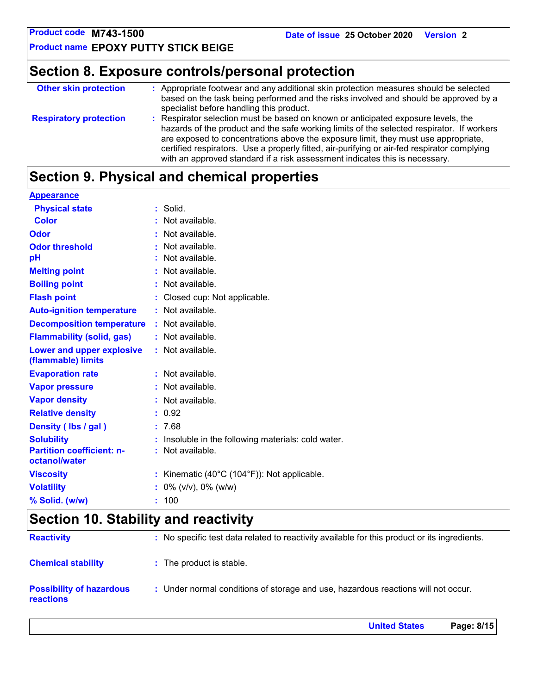**United States Page: 8/15**

**Product name EPOXY PUTTY STICK BEIGE**

### **Section 8. Exposure controls/personal protection**

| <b>Other skin protection</b>  | : Appropriate footwear and any additional skin protection measures should be selected<br>based on the task being performed and the risks involved and should be approved by a<br>specialist before handling this product.                                                                                                                                                                                                                          |
|-------------------------------|----------------------------------------------------------------------------------------------------------------------------------------------------------------------------------------------------------------------------------------------------------------------------------------------------------------------------------------------------------------------------------------------------------------------------------------------------|
| <b>Respiratory protection</b> | : Respirator selection must be based on known or anticipated exposure levels, the<br>hazards of the product and the safe working limits of the selected respirator. If workers<br>are exposed to concentrations above the exposure limit, they must use appropriate,<br>certified respirators. Use a properly fitted, air-purifying or air-fed respirator complying<br>with an approved standard if a risk assessment indicates this is necessary. |

### **Section 9. Physical and chemical properties**

| <b>Appearance</b>                                 |                                                              |
|---------------------------------------------------|--------------------------------------------------------------|
| <b>Physical state</b>                             | $:$ Solid.                                                   |
| <b>Color</b>                                      | : Not available.                                             |
| Odor                                              | : Not available.                                             |
| <b>Odor threshold</b>                             | : Not available.                                             |
| pH                                                | : Not available.                                             |
| <b>Melting point</b>                              | : Not available.                                             |
| <b>Boiling point</b>                              | : Not available.                                             |
| <b>Flash point</b>                                | : Closed cup: Not applicable.                                |
| <b>Auto-ignition temperature</b>                  | : Not available.                                             |
| <b>Decomposition temperature</b>                  | : Not available.                                             |
| <b>Flammability (solid, gas)</b>                  | : Not available.                                             |
| Lower and upper explosive<br>(flammable) limits   | : Not available.                                             |
| <b>Evaporation rate</b>                           | : Not available.                                             |
| <b>Vapor pressure</b>                             | : Not available.                                             |
| <b>Vapor density</b>                              | : Not available.                                             |
| <b>Relative density</b>                           | : 0.92                                                       |
| Density (Ibs / gal)                               | : 7.68                                                       |
| <b>Solubility</b>                                 | Insoluble in the following materials: cold water.            |
| <b>Partition coefficient: n-</b><br>octanol/water | : Not available.                                             |
| <b>Viscosity</b>                                  | : Kinematic $(40^{\circ}C (104^{\circ}F))$ : Not applicable. |
| <b>Volatility</b>                                 | $: 0\%$ (v/v), 0% (w/w)                                      |
| % Solid. (w/w)                                    | : 100                                                        |

### **Section 10. Stability and reactivity**

| <b>Reactivity</b>                                   | : No specific test data related to reactivity available for this product or its ingredients. |
|-----------------------------------------------------|----------------------------------------------------------------------------------------------|
| <b>Chemical stability</b>                           | : The product is stable.                                                                     |
| <b>Possibility of hazardous</b><br><b>reactions</b> | : Under normal conditions of storage and use, hazardous reactions will not occur.            |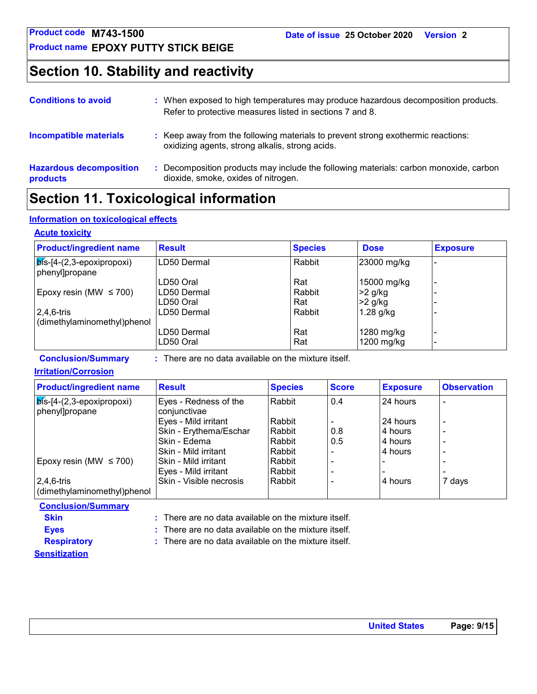**Product name EPOXY PUTTY STICK BEIGE**

### **Section 10. Stability and reactivity**

| <b>Conditions to avoid</b>                 | : When exposed to high temperatures may produce hazardous decomposition products.<br>Refer to protective measures listed in sections 7 and 8. |
|--------------------------------------------|-----------------------------------------------------------------------------------------------------------------------------------------------|
| <b>Incompatible materials</b>              | : Keep away from the following materials to prevent strong exothermic reactions:<br>oxidizing agents, strong alkalis, strong acids.           |
| <b>Hazardous decomposition</b><br>products | Decomposition products may include the following materials: carbon monoxide, carbon<br>dioxide, smoke, oxides of nitrogen.                    |

### **Section 11. Toxicological information**

#### **Information on toxicological effects**

#### **Acute toxicity**

| <b>Product/ingredient name</b>                                    | <b>Result</b> | <b>Species</b> | <b>Dose</b> | <b>Exposure</b> |
|-------------------------------------------------------------------|---------------|----------------|-------------|-----------------|
| $\vert$ $\overline{p}$ is-[4-(2,3-epoxipropoxi)<br>phenyl]propane | LD50 Dermal   | Rabbit         | 23000 mg/kg |                 |
|                                                                   | LD50 Oral     | Rat            | 15000 mg/kg |                 |
| Epoxy resin (MW $\leq$ 700)                                       | ILD50 Dermal  | Rabbit         | $>2$ g/kg   |                 |
|                                                                   | LD50 Oral     | Rat            | $>2$ g/kg   |                 |
| $2,4,6$ -tris                                                     | LD50 Dermal   | Rabbit         | $1.28$ g/kg |                 |
| (dimethylaminomethyl)phenol                                       |               |                |             |                 |
|                                                                   | LD50 Dermal   | Rat            | 1280 mg/kg  |                 |
|                                                                   | LD50 Oral     | Rat            | 1200 mg/kg  |                 |

**Conclusion/Summary :** There are no data available on the mixture itself.

#### **Irritation/Corrosion**

| <b>Product/ingredient name</b>                       | <b>Result</b>                         | <b>Species</b> | <b>Score</b> | <b>Exposure</b> | <b>Observation</b> |
|------------------------------------------------------|---------------------------------------|----------------|--------------|-----------------|--------------------|
| $\sqrt{p}$ s-[4-(2,3-epoxipropoxi)<br>phenyl]propane | Eyes - Redness of the<br>conjunctivae | l Rabbit       | 0.4          | 24 hours        |                    |
|                                                      | Eyes - Mild irritant                  | Rabbit         |              | 24 hours        | $\overline{a}$     |
|                                                      | Skin - Erythema/Eschar                | Rabbit         | 0.8          | 4 hours         | $\overline{a}$     |
|                                                      | Skin - Edema                          | Rabbit         | 0.5          | 4 hours         | $\overline{a}$     |
|                                                      | Skin - Mild irritant                  | Rabbit         |              | 4 hours         | $\overline{a}$     |
| Epoxy resin (MW $\leq$ 700)                          | Skin - Mild irritant                  | Rabbit         |              |                 |                    |
|                                                      | Eyes - Mild irritant                  | Rabbit         |              |                 |                    |
| 2,4,6-tris                                           | Skin - Visible necrosis               | l Rabbit       |              | 4 hours         | 7 days             |
| (dimethylaminomethyl)phenol                          |                                       |                |              |                 |                    |

| <b>Conclusion/Summary</b> |                                                                 |
|---------------------------|-----------------------------------------------------------------|
| <b>Skin</b>               | $\therefore$ There are no data available on the mixture itself. |
| <b>Eves</b>               | $\therefore$ There are no data available on the mixture itself. |
| <b>Respiratory</b>        | $\therefore$ There are no data available on the mixture itself. |
| <b>Sensitization</b>      |                                                                 |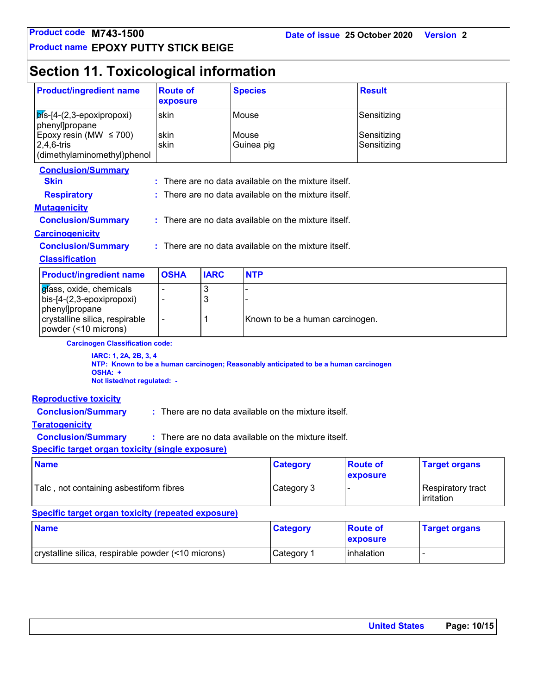**Product name EPOXY PUTTY STICK BEIGE**

## **Section 11. Toxicological information**

| <b>Product/ingredient name</b><br><b>Route of</b><br><b>Species</b><br>exposure                                                                         |                |             |                     | <b>Result</b>                                        |                             |                                 |  |
|---------------------------------------------------------------------------------------------------------------------------------------------------------|----------------|-------------|---------------------|------------------------------------------------------|-----------------------------|---------------------------------|--|
| $\mathsf{b}$ ís-[4-(2,3-epoxipropoxi)<br>phenyl]propane                                                                                                 | skin<br>Mouse  |             |                     |                                                      | Sensitizing                 |                                 |  |
| Epoxy resin (MW $\leq$ 700)<br>$2,4,6$ -tris<br>(dimethylaminomethyl)phenol                                                                             | skin<br>skin   |             | Mouse<br>Guinea pig |                                                      | Sensitizing<br>Sensitizing  |                                 |  |
| <b>Conclusion/Summary</b><br><b>Skin</b>                                                                                                                |                |             |                     | There are no data available on the mixture itself.   |                             |                                 |  |
| <b>Respiratory</b>                                                                                                                                      |                |             |                     | There are no data available on the mixture itself.   |                             |                                 |  |
| <b>Mutagenicity</b>                                                                                                                                     |                |             |                     |                                                      |                             |                                 |  |
| <b>Conclusion/Summary</b>                                                                                                                               |                |             |                     | : There are no data available on the mixture itself. |                             |                                 |  |
| <b>Carcinogenicity</b>                                                                                                                                  |                |             |                     |                                                      |                             |                                 |  |
| <b>Conclusion/Summary</b>                                                                                                                               |                |             |                     | : There are no data available on the mixture itself. |                             |                                 |  |
| <b>Classification</b>                                                                                                                                   |                |             |                     |                                                      |                             |                                 |  |
| <b>Product/ingredient name</b>                                                                                                                          | <b>OSHA</b>    | <b>IARC</b> | <b>NTP</b>          |                                                      |                             |                                 |  |
| 3<br>glass, oxide, chemicals<br>3<br>bis-[4-(2,3-epoxipropoxi)<br>$\blacksquare$<br>phenyl]propane                                                      |                |             |                     |                                                      |                             |                                 |  |
| crystalline silica, respirable<br>powder (<10 microns)                                                                                                  | $\blacksquare$ | 1           |                     | Known to be a human carcinogen.                      |                             |                                 |  |
| <b>Carcinogen Classification code:</b>                                                                                                                  |                |             |                     |                                                      |                             |                                 |  |
| IARC: 1, 2A, 2B, 3, 4<br>NTP: Known to be a human carcinogen; Reasonably anticipated to be a human carcinogen<br>OSHA: +<br>Not listed/not regulated: - |                |             |                     |                                                      |                             |                                 |  |
| <b>Reproductive toxicity</b>                                                                                                                            |                |             |                     |                                                      |                             |                                 |  |
| <b>Conclusion/Summary</b>                                                                                                                               |                |             |                     | : There are no data available on the mixture itself. |                             |                                 |  |
| <b>Teratogenicity</b>                                                                                                                                   |                |             |                     |                                                      |                             |                                 |  |
| <b>Conclusion/Summary</b><br>: There are no data available on the mixture itself.                                                                       |                |             |                     |                                                      |                             |                                 |  |
| <b>Specific target organ toxicity (single exposure)</b>                                                                                                 |                |             |                     |                                                      |                             |                                 |  |
| <b>Name</b>                                                                                                                                             |                |             |                     | <b>Category</b>                                      | <b>Route of</b><br>exposure | <b>Target organs</b>            |  |
| Talc, not containing asbestiform fibres                                                                                                                 |                |             |                     | Category 3                                           |                             | Respiratory tract<br>irritation |  |
| <b>Specific target organ toxicity (repeated exposure)</b>                                                                                               |                |             |                     |                                                      |                             |                                 |  |
| <b>Name</b>                                                                                                                                             |                |             |                     | <b>Category</b>                                      | <b>Route of</b><br>exposure | <b>Target organs</b>            |  |
| crystalline silica, respirable powder (<10 microns)                                                                                                     |                |             |                     | Category 1                                           | inhalation                  | $\frac{1}{2}$                   |  |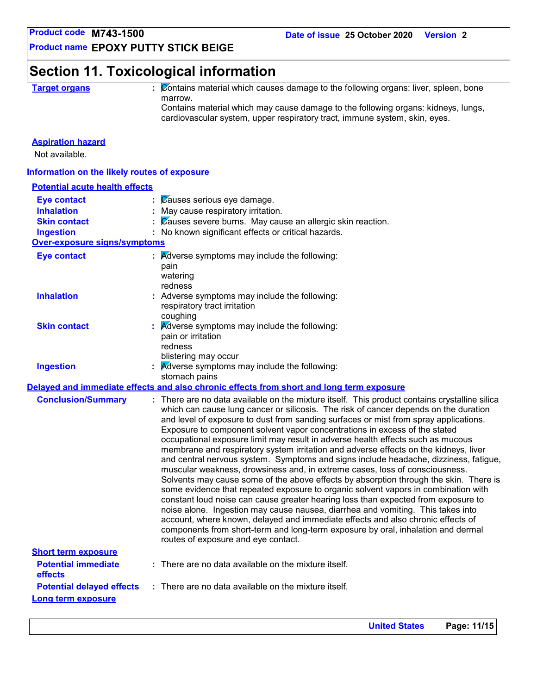**Product name EPOXY PUTTY STICK BEIGE**

### **Section 11. Toxicological information**

**Target organs :** Contains material which causes damage to the following organs: liver, spleen, bone marrow.

Contains material which may cause damage to the following organs: kidneys, lungs, cardiovascular system, upper respiratory tract, immune system, skin, eyes.

#### **Aspiration hazard**

Not available.

#### **Information on the likely routes of exposure**

| <b>Potential acute health effects</b> |                                                                                                                                                                                                                                                                                                                                                                                                                                                                                                                                                                                                                                                                                                                                                                                                                                                                                                                                                                                                                                                                                                                                                                                                                                                                                    |
|---------------------------------------|------------------------------------------------------------------------------------------------------------------------------------------------------------------------------------------------------------------------------------------------------------------------------------------------------------------------------------------------------------------------------------------------------------------------------------------------------------------------------------------------------------------------------------------------------------------------------------------------------------------------------------------------------------------------------------------------------------------------------------------------------------------------------------------------------------------------------------------------------------------------------------------------------------------------------------------------------------------------------------------------------------------------------------------------------------------------------------------------------------------------------------------------------------------------------------------------------------------------------------------------------------------------------------|
| <b>Eye contact</b>                    | Causes serious eye damage.                                                                                                                                                                                                                                                                                                                                                                                                                                                                                                                                                                                                                                                                                                                                                                                                                                                                                                                                                                                                                                                                                                                                                                                                                                                         |
| <b>Inhalation</b>                     | May cause respiratory irritation.                                                                                                                                                                                                                                                                                                                                                                                                                                                                                                                                                                                                                                                                                                                                                                                                                                                                                                                                                                                                                                                                                                                                                                                                                                                  |
| <b>Skin contact</b>                   | $\frac{1}{2}$ $\sqrt{2}$ Causes severe burns. May cause an allergic skin reaction.                                                                                                                                                                                                                                                                                                                                                                                                                                                                                                                                                                                                                                                                                                                                                                                                                                                                                                                                                                                                                                                                                                                                                                                                 |
| <b>Ingestion</b>                      | : No known significant effects or critical hazards.                                                                                                                                                                                                                                                                                                                                                                                                                                                                                                                                                                                                                                                                                                                                                                                                                                                                                                                                                                                                                                                                                                                                                                                                                                |
| Over-exposure signs/symptoms          |                                                                                                                                                                                                                                                                                                                                                                                                                                                                                                                                                                                                                                                                                                                                                                                                                                                                                                                                                                                                                                                                                                                                                                                                                                                                                    |
| <b>Eye contact</b>                    | $\therefore$ Adverse symptoms may include the following:<br>pain<br>watering<br>redness                                                                                                                                                                                                                                                                                                                                                                                                                                                                                                                                                                                                                                                                                                                                                                                                                                                                                                                                                                                                                                                                                                                                                                                            |
| <b>Inhalation</b>                     | : Adverse symptoms may include the following:<br>respiratory tract irritation<br>coughing                                                                                                                                                                                                                                                                                                                                                                                                                                                                                                                                                                                                                                                                                                                                                                                                                                                                                                                                                                                                                                                                                                                                                                                          |
| <b>Skin contact</b>                   | $\therefore$ Adverse symptoms may include the following:<br>pain or irritation<br>redness<br>blistering may occur                                                                                                                                                                                                                                                                                                                                                                                                                                                                                                                                                                                                                                                                                                                                                                                                                                                                                                                                                                                                                                                                                                                                                                  |
| <b>Ingestion</b>                      | $\overline{\mathsf{A}}$ dverse symptoms may include the following:<br>stomach pains                                                                                                                                                                                                                                                                                                                                                                                                                                                                                                                                                                                                                                                                                                                                                                                                                                                                                                                                                                                                                                                                                                                                                                                                |
|                                       | Delayed and immediate effects and also chronic effects from short and long term exposure                                                                                                                                                                                                                                                                                                                                                                                                                                                                                                                                                                                                                                                                                                                                                                                                                                                                                                                                                                                                                                                                                                                                                                                           |
| <b>Conclusion/Summary</b>             | : There are no data available on the mixture itself. This product contains crystalline silica<br>which can cause lung cancer or silicosis. The risk of cancer depends on the duration<br>and level of exposure to dust from sanding surfaces or mist from spray applications.<br>Exposure to component solvent vapor concentrations in excess of the stated<br>occupational exposure limit may result in adverse health effects such as mucous<br>membrane and respiratory system irritation and adverse effects on the kidneys, liver<br>and central nervous system. Symptoms and signs include headache, dizziness, fatigue,<br>muscular weakness, drowsiness and, in extreme cases, loss of consciousness.<br>Solvents may cause some of the above effects by absorption through the skin. There is<br>some evidence that repeated exposure to organic solvent vapors in combination with<br>constant loud noise can cause greater hearing loss than expected from exposure to<br>noise alone. Ingestion may cause nausea, diarrhea and vomiting. This takes into<br>account, where known, delayed and immediate effects and also chronic effects of<br>components from short-term and long-term exposure by oral, inhalation and dermal<br>routes of exposure and eye contact. |
| <b>Short term exposure</b>            |                                                                                                                                                                                                                                                                                                                                                                                                                                                                                                                                                                                                                                                                                                                                                                                                                                                                                                                                                                                                                                                                                                                                                                                                                                                                                    |
| <b>Potential immediate</b><br>effects | $:$ There are no data available on the mixture itself.                                                                                                                                                                                                                                                                                                                                                                                                                                                                                                                                                                                                                                                                                                                                                                                                                                                                                                                                                                                                                                                                                                                                                                                                                             |
| <b>Potential delayed effects</b>      | : There are no data available on the mixture itself.                                                                                                                                                                                                                                                                                                                                                                                                                                                                                                                                                                                                                                                                                                                                                                                                                                                                                                                                                                                                                                                                                                                                                                                                                               |
| <b>Long term exposure</b>             |                                                                                                                                                                                                                                                                                                                                                                                                                                                                                                                                                                                                                                                                                                                                                                                                                                                                                                                                                                                                                                                                                                                                                                                                                                                                                    |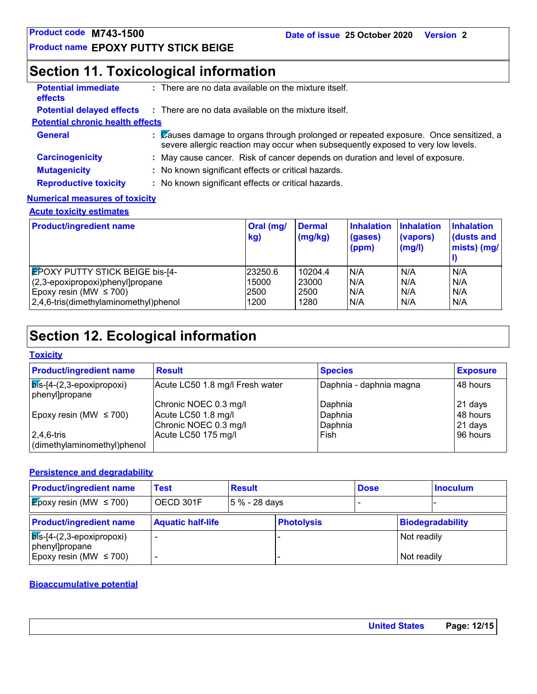### **Section 11. Toxicological information**

| <b>Potential immediate</b><br><b>effects</b> | $:$ There are no data available on the mixture itself.                                                                                                                   |
|----------------------------------------------|--------------------------------------------------------------------------------------------------------------------------------------------------------------------------|
|                                              | <b>Potential delayed effects</b> : There are no data available on the mixture itself.                                                                                    |
| <b>Potential chronic health effects</b>      |                                                                                                                                                                          |
| <b>General</b>                               | : Causes damage to organs through prolonged or repeated exposure. Once sensitized, a<br>severe allergic reaction may occur when subsequently exposed to very low levels. |
| <b>Carcinogenicity</b>                       | : May cause cancer. Risk of cancer depends on duration and level of exposure.                                                                                            |
| <b>Mutagenicity</b>                          | : No known significant effects or critical hazards.                                                                                                                      |
| <b>Reproductive toxicity</b>                 | : No known significant effects or critical hazards.                                                                                                                      |
| <b>Numerical measures of toxicity</b>        |                                                                                                                                                                          |

#### **Acute toxicity estimates**

| <b>Product/ingredient name</b>         | Oral (mg/<br>kg) | <b>Dermal</b><br>(mg/kg) | <b>Inhalation</b><br>(gases)<br>$\mathsf{(ppm)}$ | <b>Inhalation</b><br>(vapors)<br>(mg/l) | <b>Inhalation</b><br>dusts and<br>mists) (mg/ |
|----------------------------------------|------------------|--------------------------|--------------------------------------------------|-----------------------------------------|-----------------------------------------------|
| <b>EPOXY PUTTY STICK BEIGE bis-[4-</b> | 23250.6          | 10204.4                  | N/A                                              | N/A                                     | N/A                                           |
| (2,3-epoxipropoxi)phenyl]propane       | 15000            | 23000                    | N/A                                              | N/A                                     | N/A                                           |
| Epoxy resin (MW $\leq$ 700)            | 2500             | 2500                     | N/A                                              | N/A                                     | N/A                                           |
| 2,4,6-tris(dimethylaminomethyl)phenol  | 1200             | 1280                     | N/A                                              | N/A                                     | N/A                                           |

## **Section 12. Ecological information**

#### **Toxicity**

| <b>Product/ingredient name</b>                        | <b>Result</b>                   | <b>Species</b>          | <b>Exposure</b> |
|-------------------------------------------------------|---------------------------------|-------------------------|-----------------|
| $\sqrt{p}$ is-[4-(2,3-epoxipropoxi)<br>phenyl]propane | Acute LC50 1.8 mg/l Fresh water | Daphnia - daphnia magna | l 48 hours      |
|                                                       | Chronic NOEC 0.3 mg/l           | Daphnia                 | 21 days         |
| Epoxy resin (MW $\leq$ 700)                           | Acute LC50 1.8 mg/l             | Daphnia                 | 48 hours        |
|                                                       | Chronic NOEC 0.3 mg/l           | Daphnia                 | 21 days         |
| $2,4,6$ -tris                                         | Acute LC50 175 mg/l             | Fish                    | 196 hours       |
| dimethylaminomethyl)phenol                            |                                 |                         |                 |

#### **Persistence and degradability**

| <b>Product/ingredient name</b>                            | Test                     | <b>Result</b> |                   | <b>Dose</b> |             | <b>Inoculum</b>  |
|-----------------------------------------------------------|--------------------------|---------------|-------------------|-------------|-------------|------------------|
| <b>E</b> poxy resin (MW $\leq$ 700)                       | OECD 301F                | 5 % - 28 days |                   |             |             |                  |
| <b>Product/ingredient name</b>                            | <b>Aquatic half-life</b> |               | <b>Photolysis</b> |             |             | Biodegradability |
| $\vert$ $\phi$ is-[4-(2,3-epoxipropoxi)<br>phenyl]propane |                          |               |                   |             | Not readily |                  |
| Epoxy resin (MW $\leq$ 700)                               |                          |               |                   |             | Not readily |                  |

#### **Bioaccumulative potential**

| <b>United States</b> |
|----------------------|
|----------------------|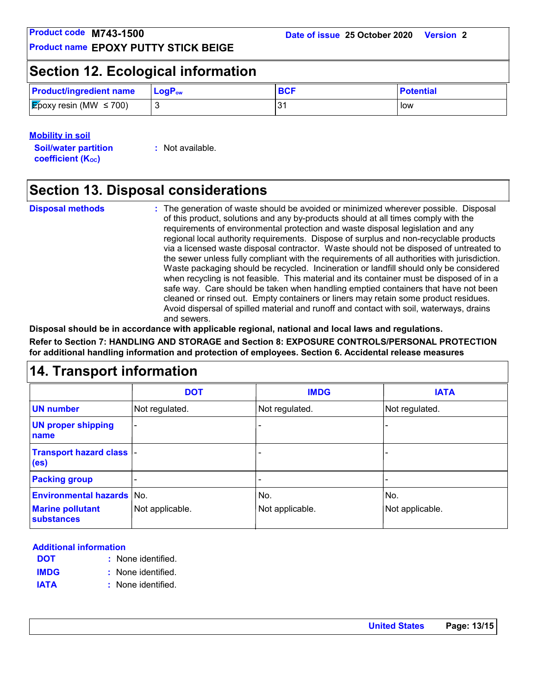### **Section 12. Ecological information**

| <b>Product/ingredient name</b>      | $\blacksquare$ Log $\mathsf{P}_{\mathsf{ow}}$ | <b>BCF</b> | <b>Potential</b> |
|-------------------------------------|-----------------------------------------------|------------|------------------|
| <b>E</b> poxy resin (MW $\leq$ 700) |                                               |            | low              |

#### **Mobility in soil**

**Soil/water partition coefficient (KOC)**

**:** Not available.

### **Section 13. Disposal considerations**

**Disposal methods :**

The generation of waste should be avoided or minimized wherever possible. Disposal of this product, solutions and any by-products should at all times comply with the requirements of environmental protection and waste disposal legislation and any regional local authority requirements. Dispose of surplus and non-recyclable products via a licensed waste disposal contractor. Waste should not be disposed of untreated to the sewer unless fully compliant with the requirements of all authorities with jurisdiction. Waste packaging should be recycled. Incineration or landfill should only be considered when recycling is not feasible. This material and its container must be disposed of in a safe way. Care should be taken when handling emptied containers that have not been cleaned or rinsed out. Empty containers or liners may retain some product residues. Avoid dispersal of spilled material and runoff and contact with soil, waterways, drains and sewers.

**Disposal should be in accordance with applicable regional, national and local laws and regulations. Refer to Section 7: HANDLING AND STORAGE and Section 8: EXPOSURE CONTROLS/PERSONAL PROTECTION**  safe way. Care should b<br>
cleaned or rinsed out. En<br>
Avoid dispersal of spilled<br>
and sewers.<br>
Disposal should be in accordance with applicable regio<br>
Refer to Section 7: HANDLING AND STORAGE and Sect<br>
for additional handlin

**for additional handling information and protection of employees. Section 6. Accidental release measures**

|                                                                                  | <b>DOT</b>      | <b>IMDG</b>            | <b>IATA</b>            |
|----------------------------------------------------------------------------------|-----------------|------------------------|------------------------|
| <b>UN number</b>                                                                 | Not regulated.  | Not regulated.         | Not regulated.         |
| <b>UN proper shipping</b><br>name                                                | $\blacksquare$  |                        |                        |
| Transport hazard class  -<br>(e <sub>s</sub> )                                   |                 |                        |                        |
| <b>Packing group</b>                                                             |                 |                        |                        |
| <b>Environmental hazards No.</b><br><b>Marine pollutant</b><br><b>substances</b> | Not applicable. | No.<br>Not applicable. | No.<br>Not applicable. |

#### **Additional information**

- None identified. **: DOT**
- None identified. **: IMDG**
- **IATA :** None identified.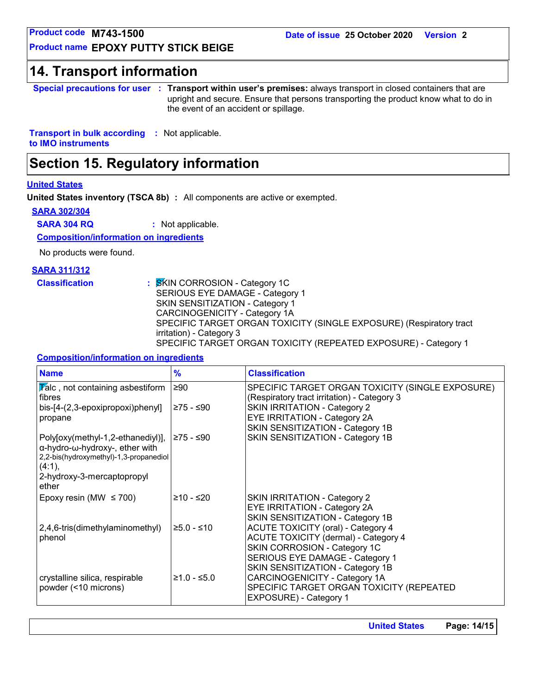**Product name EPOXY PUTTY STICK BEIGE**

**Product code M743-1500<br>
Product name EPOXY PUTTY STICK BEIGE<br>
14. Transport information<br>
Special precautions for user : Transport within user' Special precautions for user Transport within user's premises:** always transport in closed containers that are **:** upright and secure. Ensure that persons transporting the product know what to do in the event of an accident or spillage.

**Transport in bulk according :** Not applicable. **to IMO instruments**

### **Section 15. Regulatory information**

#### **United States**

**United States inventory (TSCA 8b) :** All components are active or exempted.

#### **SARA 302/304**

**SARA 304 RQ :** Not applicable.

**Composition/information on ingredients**

No products were found.

#### **SARA 311/312**

**Classification :** SKIN CORROSION - Category 1C SERIOUS EYE DAMAGE - Category 1 SKIN SENSITIZATION - Category 1 CARCINOGENICITY - Category 1A SPECIFIC TARGET ORGAN TOXICITY (SINGLE EXPOSURE) (Respiratory tract irritation) - Category 3 SPECIFIC TARGET ORGAN TOXICITY (REPEATED EXPOSURE) - Category 1

#### **Composition/information on ingredients**

| <b>Name</b>                                                                                                                                                    | $\frac{9}{6}$ | <b>Classification</b>                                                                                                                                                                           |
|----------------------------------------------------------------------------------------------------------------------------------------------------------------|---------------|-------------------------------------------------------------------------------------------------------------------------------------------------------------------------------------------------|
| $\overline{V}$ alc, not containing asbestiform<br>fibres                                                                                                       | $\geq 90$     | SPECIFIC TARGET ORGAN TOXICITY (SINGLE EXPOSURE)<br>(Respiratory tract irritation) - Category 3                                                                                                 |
| bis-[4-(2,3-epoxipropoxi)phenyl]<br>propane                                                                                                                    | ≥75 - ≤90     | <b>SKIN IRRITATION - Category 2</b><br>EYE IRRITATION - Category 2A<br>SKIN SENSITIZATION - Category 1B                                                                                         |
| Poly[oxy(methyl-1,2-ethanediyl)],<br>α-hydro-ω-hydroxy-, ether with<br>2,2-bis(hydroxymethyl)-1,3-propanediol<br>(4:1),<br>2-hydroxy-3-mercaptopropyl<br>ether | I≥75 - ≤90    | SKIN SENSITIZATION - Category 1B                                                                                                                                                                |
| Epoxy resin (MW $\leq$ 700)                                                                                                                                    | ≥10 - ≤20     | <b>SKIN IRRITATION - Category 2</b><br>EYE IRRITATION - Category 2A<br>SKIN SENSITIZATION - Category 1B                                                                                         |
| $2,4,6$ -tris(dimethylaminomethyl)<br>phenol                                                                                                                   | $≥5.0 - ≤10$  | <b>ACUTE TOXICITY (oral) - Category 4</b><br><b>ACUTE TOXICITY (dermal) - Category 4</b><br>SKIN CORROSION - Category 1C<br>SERIOUS EYE DAMAGE - Category 1<br>SKIN SENSITIZATION - Category 1B |
| crystalline silica, respirable<br>powder (<10 microns)                                                                                                         | $≥1.0 - ≤5.0$ | CARCINOGENICITY - Category 1A<br>SPECIFIC TARGET ORGAN TOXICITY (REPEATED<br>EXPOSURE) - Category 1                                                                                             |

**United States Page: 14/15**